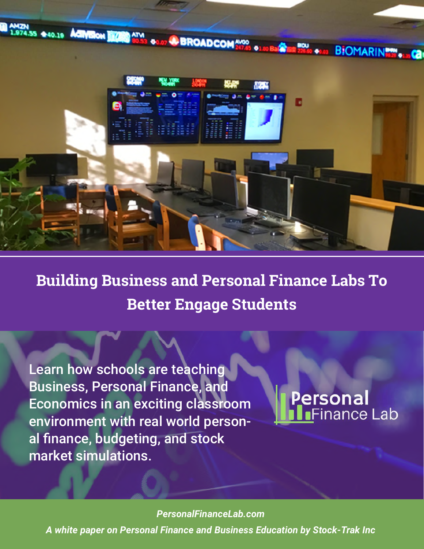

## **Building Business and Personal Finance Labs To Better Engage Students**

Learn how schools are teaching Business, Personal Finance, and Economics in an exciting classroom environment with real world personal finance, budgeting, and stock market simulations.

## Personal nance Lab

*PersonalFinanceLab.com PersonalFinanceLab.com* 

*A white paper on Personal Finance and Business Education by Stock-Trak Inc A white paper on Personal Finance and Business Education by Stock-Trak Inc*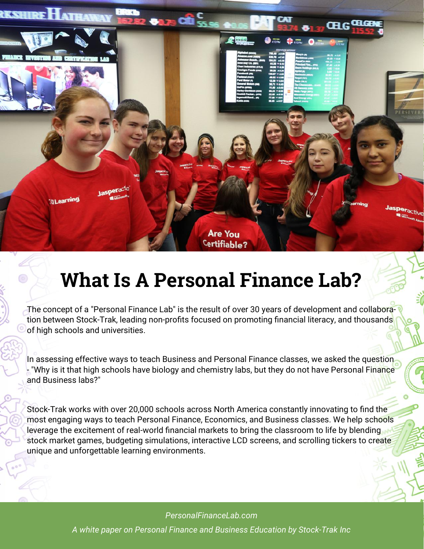**ILearning** 

**TASHIREH** 

**ATTLE** 

**What Is A Personal Finance Lab?** 

**Are You** Certifiable?  $412 P M$ 

 $\frac{d}{d}$  & 12 PM

The concept of a "Personal Finance Lab" is the result of over 30 years of development and collaboration between Stock-Trak, leading non-profits focused on promoting financial literacy, and thousands of high schools and universities.

In assessing effective ways to teach Business and Personal Finance classes, we asked the question - "Why is it that high schools have biology and chemistry labs, but they do not have Personal Finance and Business labs?"

Stock-Trak works with over 20,000 schools across North America constantly innovating to find the most engaging ways to teach Personal Finance, Economics, and Business classes. We help schools leverage the excitement of real-world financial markets to bring the classroom to life by blending stock market games, budgeting simulations, interactive LCD screens, and scrolling tickers to create unique and unforgettable learning environments.

> *PersonalFinanceLab.com A white paper on Personal Finance and Business Education by Stock-Trak Inc*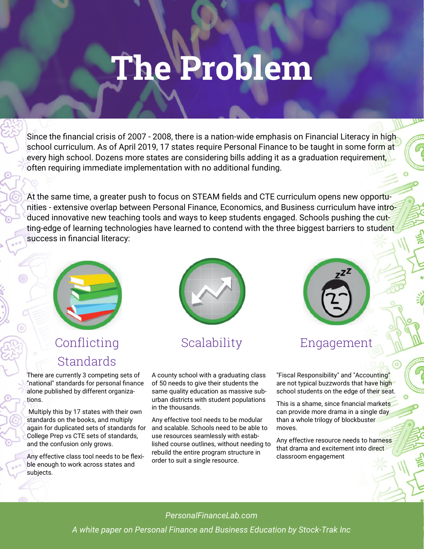# **The Problem**

Since the financial crisis of 2007 - 2008, there is a nation-wide emphasis on Financial Literacy in high school curriculum. As of April 2019, 17 states require Personal Finance to be taught in some form at every high school. Dozens more states are considering bills adding it as a graduation requirement, often requiring immediate implementation with no additional funding.

At the same time, a greater push to focus on STEAM fields and CTE curriculum opens new opportunities - extensive overlap between Personal Finance, Economics, and Business curriculum have introduced innovative new teaching tools and ways to keep students engaged. Schools pushing the cutting-edge of learning technologies have learned to contend with the three biggest barriers to student success in financial literacy:



## Conflicting **Standards**

There are currently 3 competing sets of "national" standards for personal finance alone published by different organizations.

 Multiply this by 17 states with their own standards on the books, and multiply again for duplicated sets of standards for College Prep vs CTE sets of standards, and the confusion only grows.

Any effective class tool needs to be flexible enough to work across states and subjects.



#### Scalability

A county school with a graduating class of 50 needs to give their students the same quality education as massive suburban districts with student populations in the thousands.

Any effective tool needs to be modular and scalable. Schools need to be able to use resources seamlessly with established course outlines, without needing to rebuild the entire program structure in order to suit a single resource.



#### Engagement

"Fiscal Responsibility" and "Accounting" are not typical buzzwords that have high school students on the edge of their seat.

This is a shame, since financial markets can provide more drama in a single day than a whole trilogy of blockbuster moves.

Any effective resource needs to harness that drama and excitement into direct classroom engagement

*PersonalFinanceLab.com*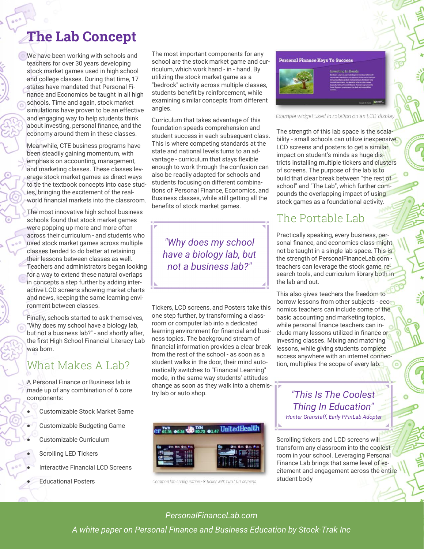## **The Lab Concept**

We have been working with schools and teachers for over 30 years developing stock market games used in high school and college classes. During that time, 17 states have mandated that Personal Finance and Economics be taught in all high schools. Time and again, stock market simulations have proven to be an effective and engaging way to help students think about investing, personal finance, and the economy around them in these classes.

Meanwhile, CTE business programs have been steadily gaining momentum, with emphasis on accounting, management, and marketing classes. These classes leverage stock market games as direct ways to tie the textbook concepts into case studies, bringing the excitement of the realworld financial markets into the classroom.

The most innovative high school business schools found that stock market games were popping up more and more often across their curriculum - and students who used stock market games across multiple classes tended to do better at retaining their lessons between classes as well. Teachers and administrators began looking for a way to extend these natural overlaps in concepts a step further by adding interactive LCD screens showing market charts and news, keeping the same learning environment between classes.

Finally, schools started to ask themselves, "Why does my school have a biology lab, but not a business lab?" - and shortly after, the first High School Financial Literacy Lab was born.

#### What Makes A Lab?

A Personal Finance or Business lab is made up of any combination of 6 core components:

- Customizable Stock Market Game
- Customizable Budgeting Game
- Customizable Curriculum
- Scrolling LED Tickers
- Interactive Financial LCD Screens
- Educational Posters

The most important components for any school are the stock market game and curriculum, which work hand - in - hand. By utilizing the stock market game as a "bedrock" activity across multiple classes, students benefit by reinforcement, while examining similar concepts from different angles.

Curriculum that takes advantage of this foundation speeds comprehension and student success in each subsequent class. This is where competing standards at the state and national levels turns to an advantage - curriculum that stays flexible enough to work through the confusion can also be readily adapted for schools and students focusing on different combinations of Personal Finance, Economics, and Business classes, while still getting all the benefits of stock market games.

*"Why does my school have a biology lab, but not a business lab?"* 

Tickers, LCD screens, and Posters take this one step further, by transforming a classroom or computer lab into a dedicated learning environment for financial and business topics. The background stream of financial information provides a clear break from the rest of the school - as soon as a student walks in the door, their mind automatically switches to "Financial Learning" mode, in the same way students' attitudes change as soon as they walk into a chemistry lab or auto shop.



Common lab configuration - 8' ticker with two LCD screens

**Personal Finance Keys To Success** 



Example widget used in rotation on an LCD display

The strength of this lab space is the scalability - small schools can utilize inexpensive LCD screens and posters to get a similar impact on student's minds as huge districts installing multiple tickers and clusters of screens. The purpose of the lab is to build that clear break between "the rest of school" and "The Lab", which further compounds the overlapping impact of using stock games as a foundational activity.

#### The Portable Lab

Practically speaking, every business, personal finance, and economics class might not be taught in a single lab space. This is the strength of PersonalFinanceLab.com teachers can leverage the stock game, research tools, and curriculum library both in the lab and out.

This also gives teachers the freedom to borrow lessons from other subjects - economics teachers can include some of the basic accounting and marketing topics, while personal finance teachers can include many lessons utilized in finance or investing classes. Mixing and matching lessons, while giving students complete access anywhere with an internet connection, multiplies the scope of every lab.

#### *"This Is The Coolest Thing In Education" -Hunter Granstaff, Early PFinLab Adopter*

Scrolling tickers and LCD screens will transform any classroom into the coolest room in your school. Leveraging Personal Finance Lab brings that same level of excitement and engagement across the entire student body

#### *PersonalFinanceLab.com*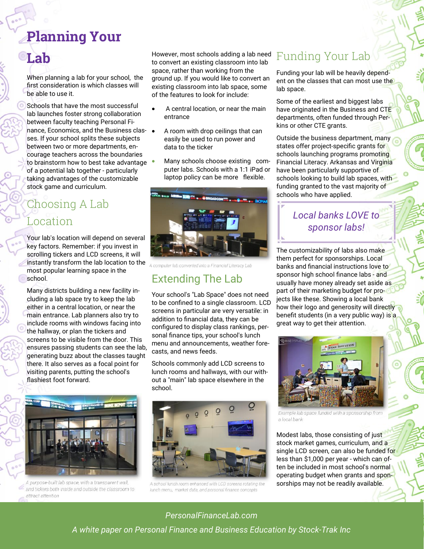## **Planning Your**

## **Lab**

When planning a lab for your school, the first consideration is which classes will be able to use it.

Schools that have the most successful lab launches foster strong collaboration between faculty teaching Personal Finance, Economics, and the Business classes. If your school splits these subjects between two or more departments, encourage teachers across the boundaries to brainstorm how to best take advantage • of a potential lab together - particularly taking advantages of the customizable stock game and curriculum.

## Choosing A Lab Location

Your lab's location will depend on several key factors. Remember: if you invest in scrolling tickers and LCD screens, it will instantly transform the lab location to the most popular learning space in the school.

Many districts building a new facility including a lab space try to keep the lab either in a central location, or near the main entrance. Lab planners also try to include rooms with windows facing into the hallway, or plan the tickers and screens to be visible from the door. This ensures passing students can see the lab, generating buzz about the classes taught there. It also serves as a focal point for visiting parents, putting the school's flashiest foot forward.



A purpose-built lab space, with a transparent wall and tickers both inside and outside the classroom to attract attention

However, most schools adding a lab need to convert an existing classroom into lab space, rather than working from the ground up. If you would like to convert an existing classroom into lab space, some of the features to look for include:

- A central location, or near the main entrance
- A room with drop ceilings that can easily be used to run power and data to the ticker
- Many schools choose existing computer labs. Schools with a 1:1 iPad or laptop policy can be more flexible.



A computer lab converted into a Financial Literacy Lab

#### Extending The Lab

Your school's "Lab Space" does not need to be confined to a single classroom. LCD screens in particular are very versatile: in addition to financial data, they can be configured to display class rankings, personal finance tips, your school's lunch menu and announcements, weather forecasts, and news feeds.

Schools commonly add LCD screens to lunch rooms and hallways, with our without a "main" lab space elsewhere in the school.



A school lunch room enhanced with LCD screens rotating the lunch menu, market data, and personal finance concepts

#### Funding Your Lab

Funding your lab will be heavily dependent on the classes that can most use the lab space.

Some of the earliest and biggest labs have originated in the Business and CTE departments, often funded through Perkins or other CTE grants.

Outside the business department, many states offer project-specific grants for schools launching programs promoting Financial Literacy. Arkansas and Virginia have been particularly supportive of schools looking to build lab spaces, with funding granted to the vast majority of schools who have applied.

#### *Local banks LOVE to sponsor labs!*

The customizability of labs also make them perfect for sponsorships. Local banks and financial instructions love to sponsor high school finance labs - and usually have money already set aside as part of their marketing budget for projects like these. Showing a local bank how their logo and generosity will directly benefit students (in a very public way) is a great way to get their attention.



Example lab space funded with a sponsorship from a local bank

Modest labs, those consisting of just stock market games, curriculum, and a single LCD screen, can also be funded for less than \$1,000 per year - which can often be included in most school's normal operating budget when grants and sponsorships may not be readily available.

#### *PersonalFinanceLab.com*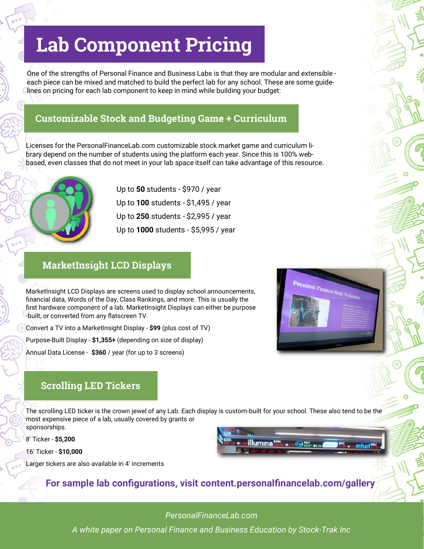## **Lab Component Pricing**

One of the strengths of Personal Finance and Business Labs is that they are modular and extensible each piece can be mixed and matched to build the perfect lab for any school. These are some guidelines on pricing for each lab component to keep in mind while building your budget:

#### **Customizable Stock and Budgeting Game + Curriculum**

Licenses for the PersonalFinanceLab.com customizable stock market game and curriculum library depend on the number of students using the platform each year. Since this is 100% webbased, even classes that do not meet in your lab space itself can take advantage of this resource.



Up to **50** students - \$970 / year Up to **100** students - \$1,495 / year Up to **250** students - \$2,995 / year Up to **1000** students - \$5,995 / year

#### **MarketInsight LCD Displays**

MarketInsight LCD Displays are screens used to display school announcements, financial data, Words of the Day, Class Rankings, and more. This is usually the first hardware component of a lab. MarketInsight Displays can either be purpose -built, or converted from any flatscreen TV.

Convert a TV into a MarketInsight Display - **\$99** (plus cost of TV)

Purpose-Built Display - **\$1,355+** (depending on size of display)

Annual Data License - **\$360** / year (for up to 3 screens)

#### **Scrolling LED Tickers**

The scrolling LED ticker is the crown jewel of any Lab. Each display is custom-built for your school. These also tend to be the most expensive piece of a lab, usually covered by grants or sponsorships.

8' Ticker - **\$5,200** 

16' Ticker - **\$10,000** 

Larger tickers are also available in 4' increments



**Personal Finance Reys To Success** 

#### **For sample lab configurations, visit content.personalfinancelab.com/gallery**

*PersonalFinanceLab.com*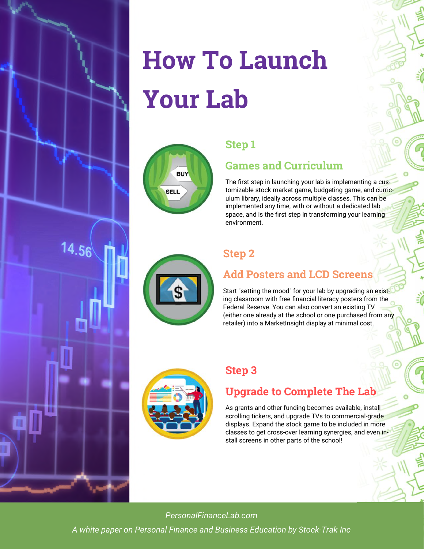

# **How To Launch Your Lab**

| <b>BUY</b>  |  |
|-------------|--|
| <b>SELL</b> |  |
|             |  |

#### **Step 1**

#### **Games and Curriculum**

The first step in launching your lab is implementing a customizable stock market game, budgeting game, and curriculum library, ideally across multiple classes. This can be implemented any time, with or without a dedicated lab space, and is the first step in transforming your learning environment.



### **Step 2**

## **Add Posters and LCD Screens**

Start "setting the mood" for your lab by upgrading an existing classroom with free financial literacy posters from the Federal Reserve. You can also convert an existing TV (either one already at the school or one purchased from any retailer) into a MarketInsight display at minimal cost.



#### **Step 3**

### **Upgrade to Complete The Lab**

As grants and other funding becomes available, install scrolling tickers, and upgrade TVs to commercial-grade displays. Expand the stock game to be included in more classes to get cross-over learning synergies, and even install screens in other parts of the school!

*PersonalFinanceLab.com*